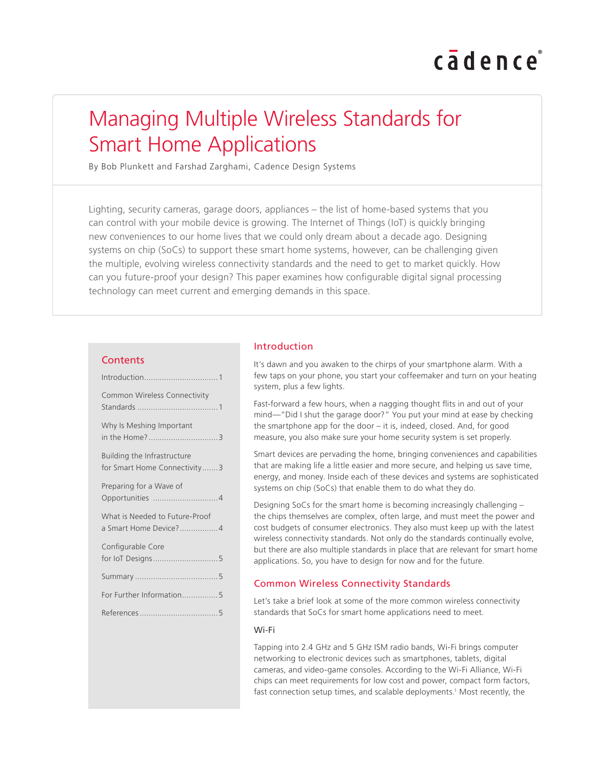# cadence

# Managing Multiple Wireless Standards for Smart Home Applications

By Bob Plunkett and Farshad Zarghami, Cadence Design Systems

Lighting, security cameras, garage doors, appliances – the list of home-based systems that you can control with your mobile device is growing. The Internet of Things (IoT) is quickly bringing new conveniences to our home lives that we could only dream about a decade ago. Designing systems on chip (SoCs) to support these smart home systems, however, can be challenging given the multiple, evolving wireless connectivity standards and the need to get to market quickly. How can you future-proof your design? This paper examines how configurable digital signal processing technology can meet current and emerging demands in this space.

#### **Contents**

| Common Wireless Connectivity                                |
|-------------------------------------------------------------|
| Why Is Meshing Important                                    |
| Building the Infrastructure<br>for Smart Home Connectivity3 |
| Preparing for a Wave of                                     |
| What is Needed to Future-Proof<br>a Smart Home Device?4     |
| Configurable Core                                           |
|                                                             |
| For Further Information5                                    |
|                                                             |

# Introduction

It's dawn and you awaken to the chirps of your smartphone alarm. With a few taps on your phone, you start your coffeemaker and turn on your heating system, plus a few lights.

Fast-forward a few hours, when a nagging thought flits in and out of your mind—"Did I shut the garage door?" You put your mind at ease by checking the smartphone app for the door – it is, indeed, closed. And, for good measure, you also make sure your home security system is set properly.

Smart devices are pervading the home, bringing conveniences and capabilities that are making life a little easier and more secure, and helping us save time, energy, and money. Inside each of these devices and systems are sophisticated systems on chip (SoCs) that enable them to do what they do.

Designing SoCs for the smart home is becoming increasingly challenging – the chips themselves are complex, often large, and must meet the power and cost budgets of consumer electronics. They also must keep up with the latest wireless connectivity standards. Not only do the standards continually evolve, but there are also multiple standards in place that are relevant for smart home applications. So, you have to design for now and for the future.

# Common Wireless Connectivity Standards

Let's take a brief look at some of the more common wireless connectivity standards that SoCs for smart home applications need to meet.

#### Wi-Fi

Tapping into 2.4 GHz and 5 GHz ISM radio bands, Wi-Fi brings computer networking to electronic devices such as smartphones, tablets, digital cameras, and video-game consoles. According to the Wi-Fi Alliance, Wi-Fi chips can meet requirements for low cost and power, compact form factors, fast connection setup times, and scalable deployments.<sup>1</sup> Most recently, the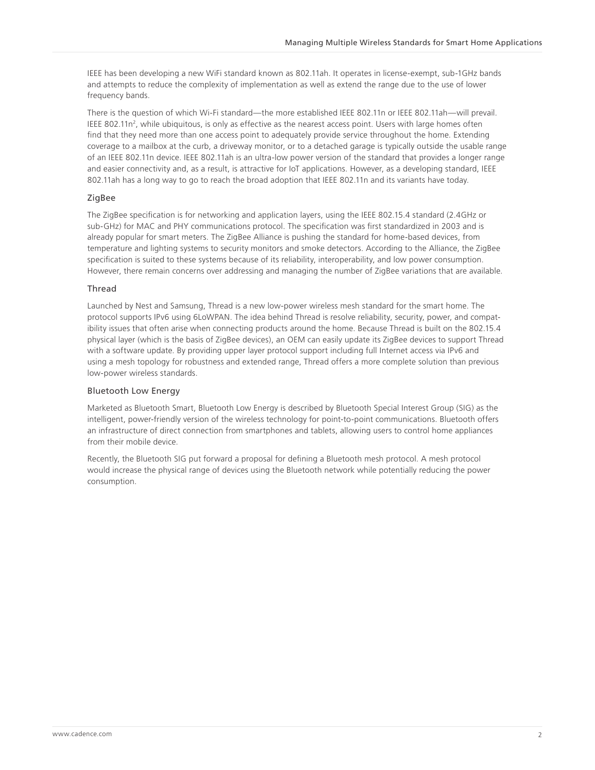IEEE has been developing a new WiFi standard known as 802.11ah. It operates in license-exempt, sub-1GHz bands and attempts to reduce the complexity of implementation as well as extend the range due to the use of lower frequency bands.

There is the question of which Wi-Fi standard—the more established IEEE 802.11n or IEEE 802.11ah—will prevail. IEEE 802.11n<sup>2</sup>, while ubiquitous, is only as effective as the nearest access point. Users with large homes often find that they need more than one access point to adequately provide service throughout the home. Extending coverage to a mailbox at the curb, a driveway monitor, or to a detached garage is typically outside the usable range of an IEEE 802.11n device. IEEE 802.11ah is an ultra-low power version of the standard that provides a longer range and easier connectivity and, as a result, is attractive for IoT applications. However, as a developing standard, IEEE 802.11ah has a long way to go to reach the broad adoption that IEEE 802.11n and its variants have today.

#### ZigBee

The ZigBee specification is for networking and application layers, using the IEEE 802.15.4 standard (2.4GHz or sub-GHz) for MAC and PHY communications protocol. The specification was first standardized in 2003 and is already popular for smart meters. The ZigBee Alliance is pushing the standard for home-based devices, from temperature and lighting systems to security monitors and smoke detectors. According to the Alliance, the ZigBee specification is suited to these systems because of its reliability, interoperability, and low power consumption. However, there remain concerns over addressing and managing the number of ZigBee variations that are available.

#### **Thread**

Launched by Nest and Samsung, Thread is a new low-power wireless mesh standard for the smart home. The protocol supports IPv6 using 6LoWPAN. The idea behind Thread is resolve reliability, security, power, and compatibility issues that often arise when connecting products around the home. Because Thread is built on the 802.15.4 physical layer (which is the basis of ZigBee devices), an OEM can easily update its ZigBee devices to support Thread with a software update. By providing upper layer protocol support including full Internet access via IPv6 and using a mesh topology for robustness and extended range, Thread offers a more complete solution than previous low-power wireless standards.

#### Bluetooth Low Energy

Marketed as Bluetooth Smart, Bluetooth Low Energy is described by Bluetooth Special Interest Group (SIG) as the intelligent, power-friendly version of the wireless technology for point-to-point communications. Bluetooth offers an infrastructure of direct connection from smartphones and tablets, allowing users to control home appliances from their mobile device.

Recently, the Bluetooth SIG put forward a proposal for defining a Bluetooth mesh protocol. A mesh protocol would increase the physical range of devices using the Bluetooth network while potentially reducing the power consumption.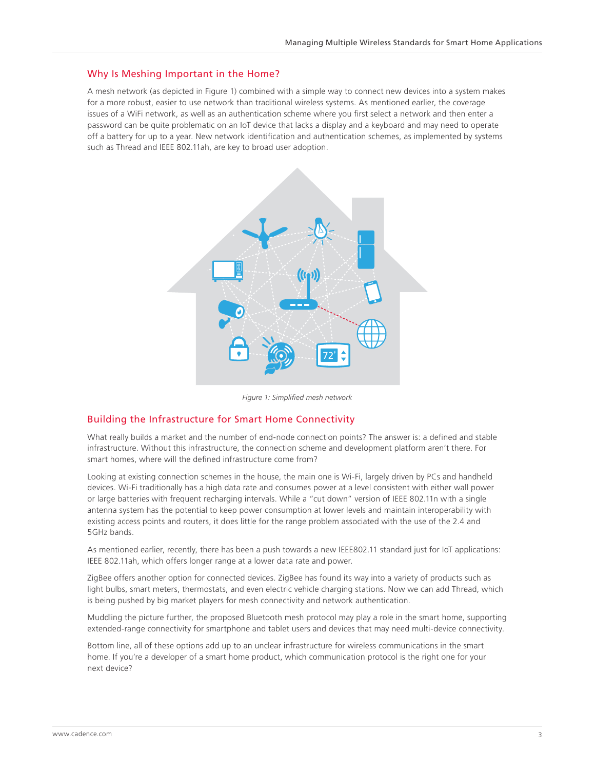#### Why Is Meshing Important in the Home?

A mesh network (as depicted in Figure 1) combined with a simple way to connect new devices into a system makes for a more robust, easier to use network than traditional wireless systems. As mentioned earlier, the coverage issues of a WiFi network, as well as an authentication scheme where you first select a network and then enter a password can be quite problematic on an IoT device that lacks a display and a keyboard and may need to operate off a battery for up to a year. New network identification and authentication schemes, as implemented by systems such as Thread and IEEE 802.11ah, are key to broad user adoption.



*Figure 1: Simplified mesh network*

### Building the Infrastructure for Smart Home Connectivity

What really builds a market and the number of end-node connection points? The answer is: a defined and stable infrastructure. Without this infrastructure, the connection scheme and development platform aren't there. For smart homes, where will the defined infrastructure come from?

Looking at existing connection schemes in the house, the main one is Wi-Fi, largely driven by PCs and handheld devices. Wi-Fi traditionally has a high data rate and consumes power at a level consistent with either wall power or large batteries with frequent recharging intervals. While a "cut down" version of IEEE 802.11n with a single antenna system has the potential to keep power consumption at lower levels and maintain interoperability with existing access points and routers, it does little for the range problem associated with the use of the 2.4 and 5GHz bands.

As mentioned earlier, recently, there has been a push towards a new IEEE802.11 standard just for IoT applications: IEEE 802.11ah, which offers longer range at a lower data rate and power.

ZigBee offers another option for connected devices. ZigBee has found its way into a variety of products such as light bulbs, smart meters, thermostats, and even electric vehicle charging stations. Now we can add Thread, which is being pushed by big market players for mesh connectivity and network authentication.

Muddling the picture further, the proposed Bluetooth mesh protocol may play a role in the smart home, supporting extended-range connectivity for smartphone and tablet users and devices that may need multi-device connectivity.

Bottom line, all of these options add up to an unclear infrastructure for wireless communications in the smart home. If you're a developer of a smart home product, which communication protocol is the right one for your next device?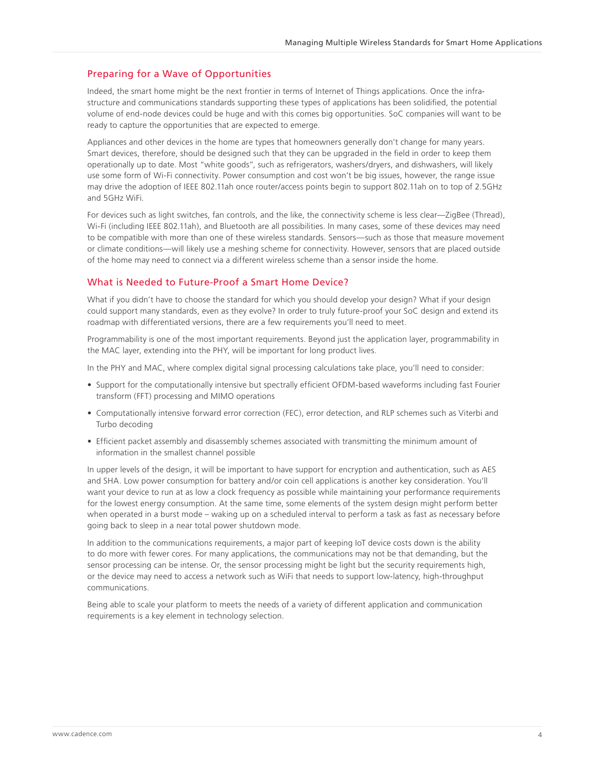# Preparing for a Wave of Opportunities

Indeed, the smart home might be the next frontier in terms of Internet of Things applications. Once the infrastructure and communications standards supporting these types of applications has been solidified, the potential volume of end-node devices could be huge and with this comes big opportunities. SoC companies will want to be ready to capture the opportunities that are expected to emerge.

Appliances and other devices in the home are types that homeowners generally don't change for many years. Smart devices, therefore, should be designed such that they can be upgraded in the field in order to keep them operationally up to date. Most "white goods", such as refrigerators, washers/dryers, and dishwashers, will likely use some form of Wi-Fi connectivity. Power consumption and cost won't be big issues, however, the range issue may drive the adoption of IEEE 802.11ah once router/access points begin to support 802.11ah on to top of 2.5GHz and 5GHz WiFi.

For devices such as light switches, fan controls, and the like, the connectivity scheme is less clear—ZigBee (Thread), Wi-Fi (including IEEE 802.11ah), and Bluetooth are all possibilities. In many cases, some of these devices may need to be compatible with more than one of these wireless standards. Sensors—such as those that measure movement or climate conditions—will likely use a meshing scheme for connectivity. However, sensors that are placed outside of the home may need to connect via a different wireless scheme than a sensor inside the home.

#### What is Needed to Future-Proof a Smart Home Device?

What if you didn't have to choose the standard for which you should develop your design? What if your design could support many standards, even as they evolve? In order to truly future-proof your SoC design and extend its roadmap with differentiated versions, there are a few requirements you'll need to meet.

Programmability is one of the most important requirements. Beyond just the application layer, programmability in the MAC layer, extending into the PHY, will be important for long product lives.

In the PHY and MAC, where complex digital signal processing calculations take place, you'll need to consider:

- Support for the computationally intensive but spectrally efficient OFDM-based waveforms including fast Fourier transform (FFT) processing and MIMO operations
- Computationally intensive forward error correction (FEC), error detection, and RLP schemes such as Viterbi and Turbo decoding
- Efficient packet assembly and disassembly schemes associated with transmitting the minimum amount of information in the smallest channel possible

In upper levels of the design, it will be important to have support for encryption and authentication, such as AES and SHA. Low power consumption for battery and/or coin cell applications is another key consideration. You'll want your device to run at as low a clock frequency as possible while maintaining your performance requirements for the lowest energy consumption. At the same time, some elements of the system design might perform better when operated in a burst mode – waking up on a scheduled interval to perform a task as fast as necessary before going back to sleep in a near total power shutdown mode.

In addition to the communications requirements, a major part of keeping IoT device costs down is the ability to do more with fewer cores. For many applications, the communications may not be that demanding, but the sensor processing can be intense. Or, the sensor processing might be light but the security requirements high, or the device may need to access a network such as WiFi that needs to support low-latency, high-throughput communications.

Being able to scale your platform to meets the needs of a variety of different application and communication requirements is a key element in technology selection.